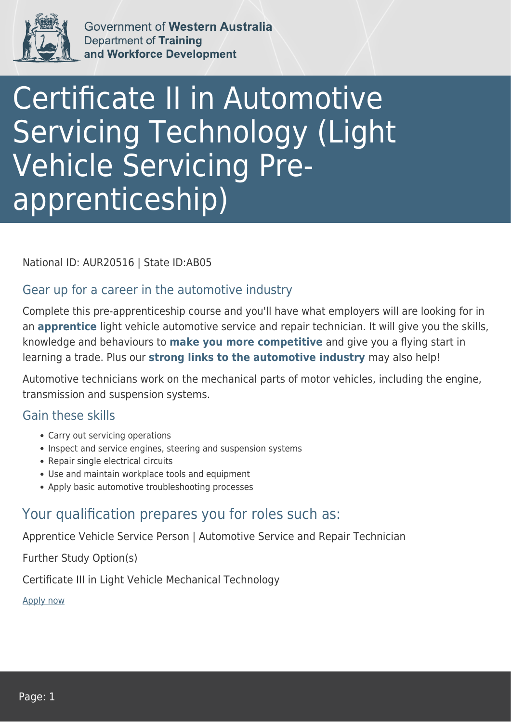

Government of Western Australia **Department of Training** and Workforce Development

# Certificate II in Automotive Servicing Technology (Light Vehicle Servicing Preapprenticeship)

National ID: AUR20516 | State ID:AB05

#### Gear up for a career in the automotive industry

Complete this pre-apprenticeship course and you'll have what employers will are looking for in an **apprentice** light vehicle automotive service and repair technician. It will give you the skills, knowledge and behaviours to **make you more competitive** and give you a flying start in learning a trade. Plus our **strong links to the automotive industry** may also help!

Automotive technicians work on the mechanical parts of motor vehicles, including the engine, transmission and suspension systems.

#### Gain these skills

- Carry out servicing operations
- Inspect and service engines, steering and suspension systems
- Repair single electrical circuits
- Use and maintain workplace tools and equipment
- Apply basic automotive troubleshooting processes

### Your qualification prepares you for roles such as:

Apprentice Vehicle Service Person | Automotive Service and Repair Technician

Further Study Option(s)

Certificate III in Light Vehicle Mechanical Technology

[Apply now](https://tasonline.tafe.wa.edu.au/Default.aspx)